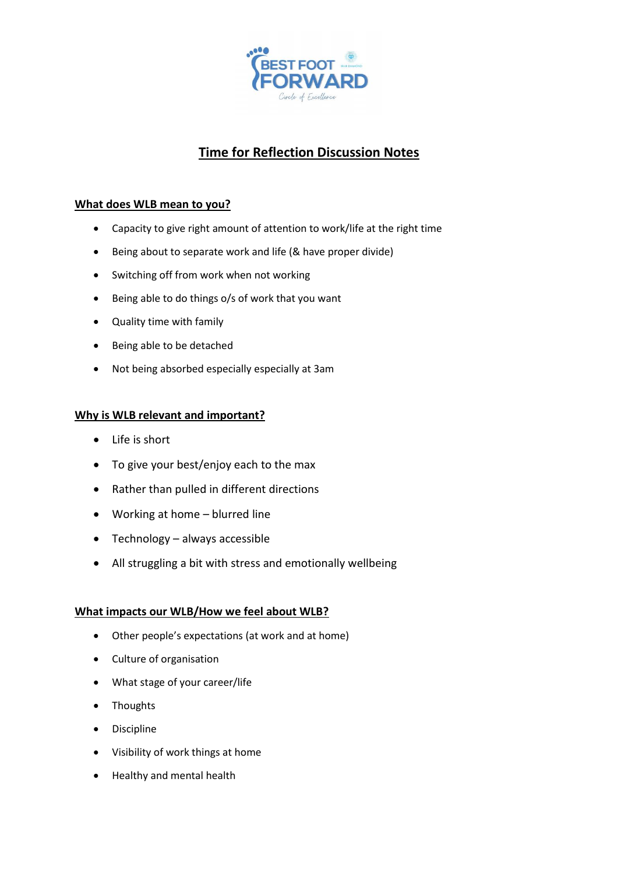

# **Time for Reflection Discussion Notes**

## **What does WLB mean to you?**

- Capacity to give right amount of attention to work/life at the right time
- Being about to separate work and life (& have proper divide)
- Switching off from work when not working
- Being able to do things o/s of work that you want
- Quality time with family
- Being able to be detached
- Not being absorbed especially especially at 3am

### **Why is WLB relevant and important?**

- Life is short
- To give your best/enjoy each to the max
- Rather than pulled in different directions
- Working at home blurred line
- Technology always accessible
- All struggling a bit with stress and emotionally wellbeing

### **What impacts our WLB/How we feel about WLB?**

- Other people's expectations (at work and at home)
- Culture of organisation
- What stage of your career/life
- Thoughts
- Discipline
- Visibility of work things at home
- Healthy and mental health